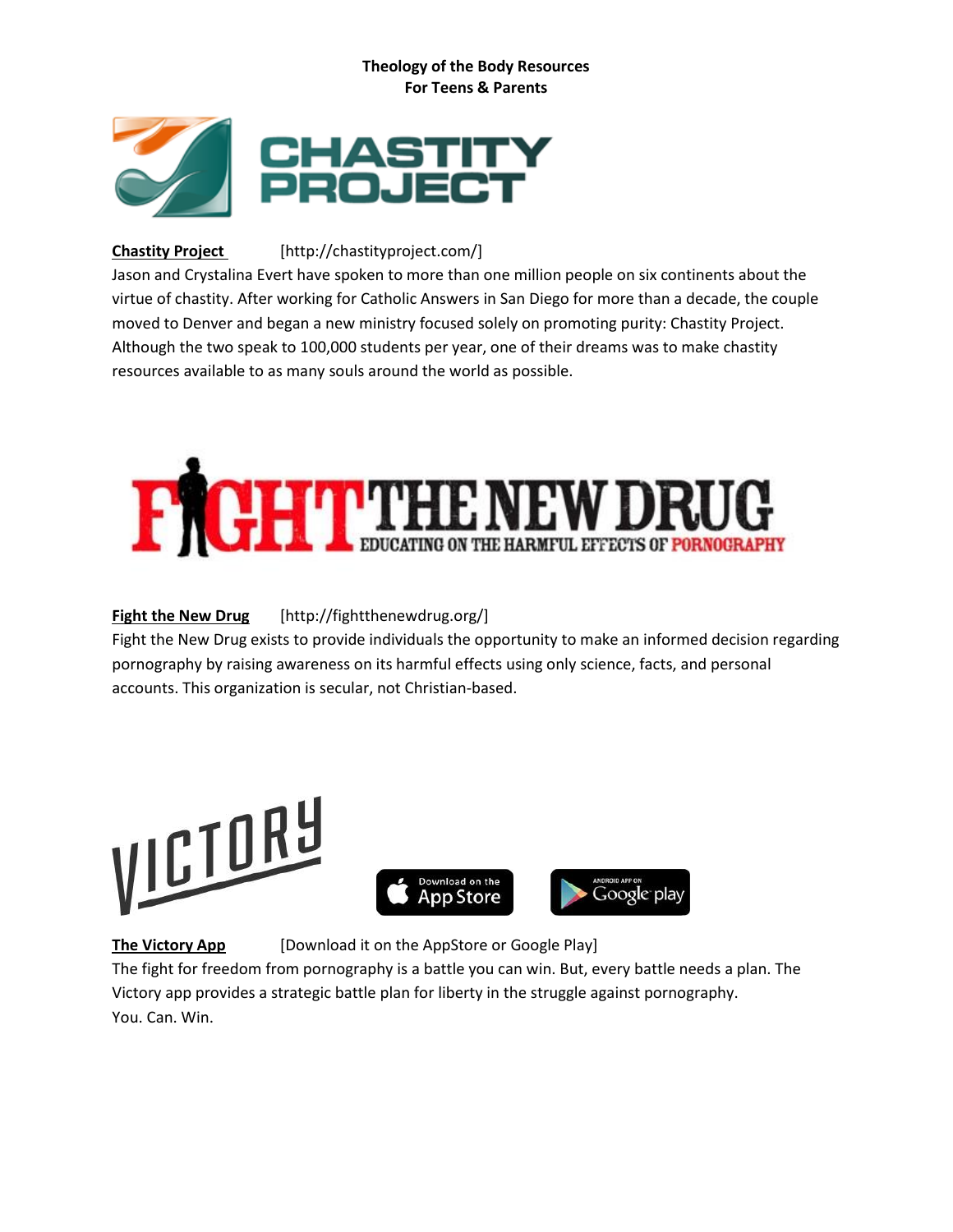### **Theology of the Body Resources For Teens & Parents**



## **Chastity Project** [http://chastityproject.com/]

Jason and Crystalina Evert have spoken to more than one million people on six continents about the virtue of chastity. After working for Catholic Answers in San Diego for more than a decade, the couple moved to Denver and began a new ministry focused solely on promoting purity: Chastity Project. Although the two speak to 100,000 students per year, one of their dreams was to make chastity resources available to as many souls around the world as possible.



# **Fight the New Drug** [http://fightthenewdrug.org/]

Fight the New Drug exists to provide individuals the opportunity to make an informed decision regarding pornography by raising awareness on its harmful effects using only science, facts, and personal accounts. This organization is secular, not Christian-based.





**The Victory App** [Download it on the AppStore or Google Play]

The fight for freedom from pornography is a battle you can win. But, every battle needs a plan. The Victory app provides a strategic battle plan for liberty in the struggle against pornography. You. Can. Win.